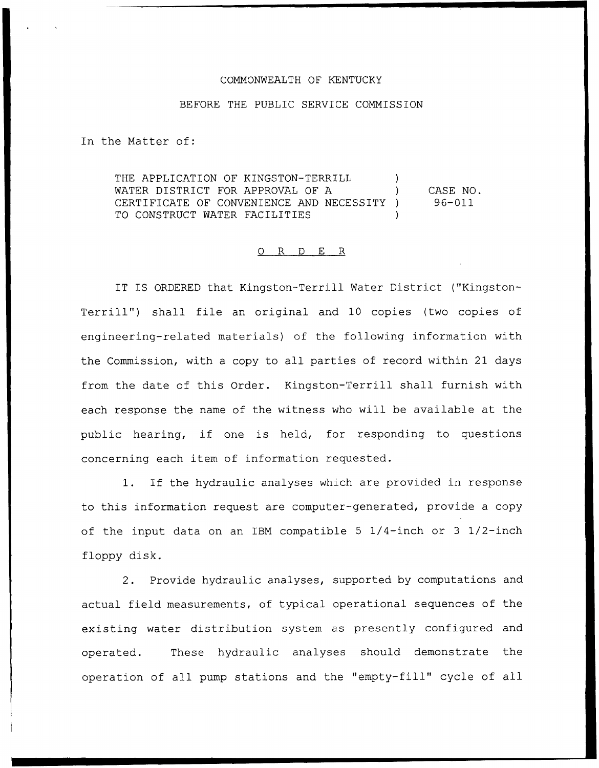## COMMONWEALTH OF KENTUCKY

## BEFORE THE PUBLIC SERVICE COMMISSION

In the Natter of:

THE APPLICATION OF KINGSTON-TERRILL  $)$ WATER DISTRICT FOR APPROVAL OF A CERTIFICATE OF CONVENIENCE AND NECESSITY ) TO CONSTRUCT WATER FACILITIES CASE NO. 96-011

## 0 R <sup>D</sup> E R

IT IS ORDERED that Kingston-Terrill Water District ("Kingston-Terrill") shall file an original and 10 copies (two copies of engineering-related materials) of the following information with the Commission, with a copy to all parties of record within 21 days from the date of this Order. Kingston-Terrill shall furnish with each response the name of the witness who will be available at the public hearing, if one is held, for responding to questions concerning each item of information requested.

1. If the hydraulic analyses which are provided in response to this information request are computer-generated, provide a copy of the input data on an IBM compatible 5 1/4-inch or <sup>3</sup> 1/2-inch floppy disk.

2. Provide hydraulic analyses, supported by computations and actual field measurements, of typical operational sequences of the existing water distribution system as presently configured and operated. These hydraulic analyses should demonstrate the operation of all pump stations and the "empty-fill" cycle of all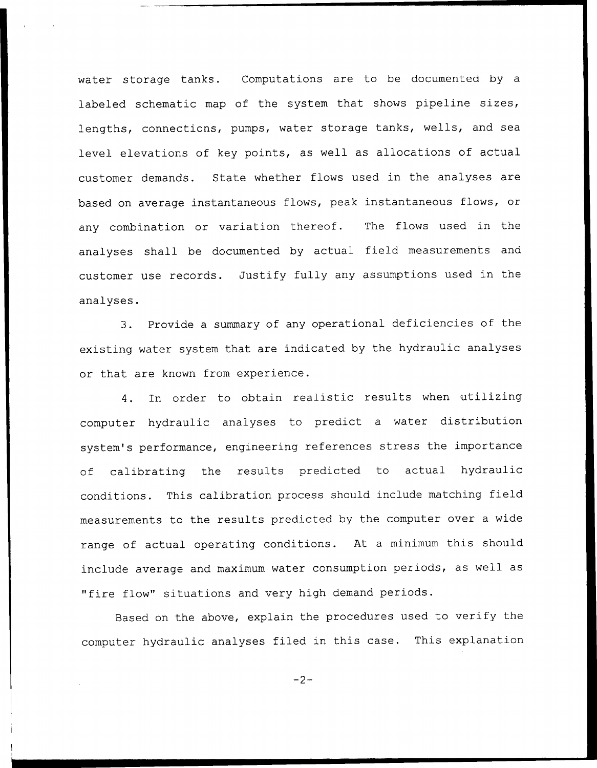water storage tanks. Computations are to be documented by a labeled schematic map of the system that shows pipeline sizes, lengths, connections, pumps, water storage tanks, wells, and sea level elevations of key points, as well as allocations of actual customer demands. State whether flows used in the analyses are based on average instantaneous flows, peak instantaneous flows, or any combination or variation thereof. The flows used in the analyses shall be documented by actual field measurements and customer use records. Justify fully any assumptions used in the analyses.

3. Provide a summary of any operational deficiencies of the existing water system that are indicated by the hydraulic analyses or that are known from experience.

4. In order to obtain realistic results when utilizing computer hydraulic analyses to predict a water distribution system's performance, engineering references stress the importance of calibrating the results predicted to actual hydraulic conditions. This calibration process should include matching field measurements to the results predicted by the computer over a wide range of actual operating conditions. At <sup>a</sup> minimum this should include average and maximum water consumption periods, as well as "fire flow" situations and very high demand periods.

Based on the above, explain the procedures used to verify the computer hydraulic analyses filed in this case. This explanation

 $-2-$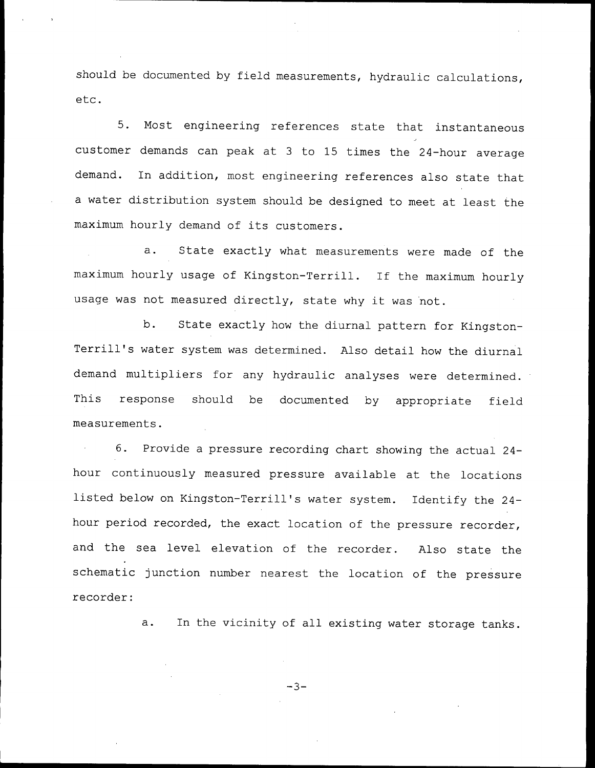should be documented by field measurements, hydraulic calculations, etc.

5. Most engineering references state that instantaneous customer demands can peak at <sup>3</sup> to 15 times the 24-hour average demand. In addition, most engineering references also state that a water distribution system should be designed to meet at least the maximum hourly demand of its customers.

a. State exactly what measurements were made of the maximum hourly usage of Kingston-Terrill. If the maximum hourly usage was not measured directly, state why it was not.

b. State exactly how the diurnal pattern for Kingston-Terrill's water system was determined. Also detail how the diurnal demand multipliers for any hydraulic analyses were determined. This response should be documented by appropriate field measurements.

6. Provide <sup>a</sup> pressure recording chart showing the actual 24 hour continuously measured pressure available at the locations listed below on Kingston-Terrill's water system. Identify the 24 hour period recorded, the exact location of the pressure recorder, and the sea level elevation of the recorder. Also state the schematic junction number nearest the location of the pressure recorder:

a. In the vicinity of all existing water storage tanks.

$$
-3-
$$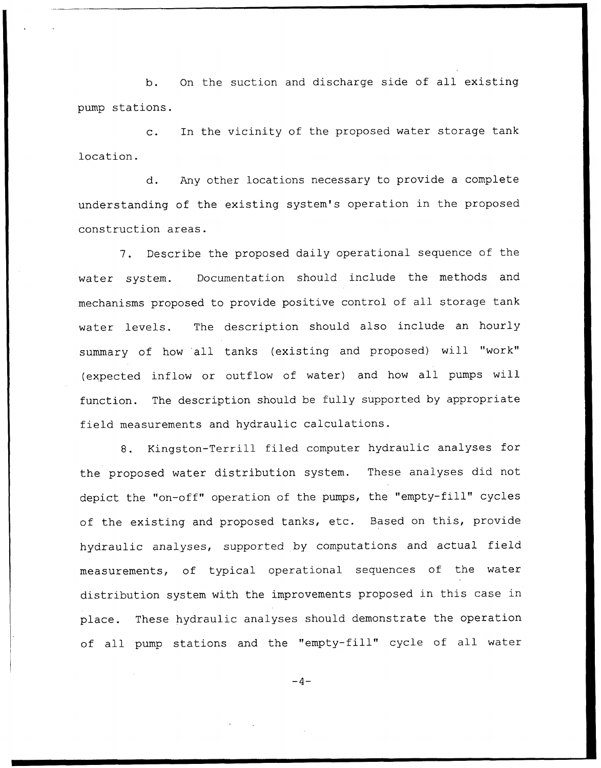b. On the suction and discharge side of all existing pump stations.

c. In the vicinity of the proposed water storage tank location.

d. Any other locations necessary to provide a complete understanding of the existing system's operation in the proposed construction areas.

7. Describe the proposed daily operational sequence of the water system. Documentation should include the methods and mechanisms proposed to provide positive control of all storage tank water levels. The description should also include an hourly summary of how all tanks (existing and proposed) will "work" (expected inflow or outflow of water} and how all pumps will function. The description should be fully supported by appropriate field measurements and hydraulic calculations.

8. Kingston-Terrill filed computer hydraulic analyses for the proposed water distribution system. These analyses did not depict the "on-off" operation of the pumps, the "empty-fill" cycles of the existing and proposed tanks, etc. Based on this, provide hydraulic analyses, supported by computations and actual field measurements, of typical operational sequences of the water distribution system with the improvements proposed in this case in place. These hydraulic analyses should demonstrate the operation of all pump stations and the "empty-fill" cycle of all water

 $-4-$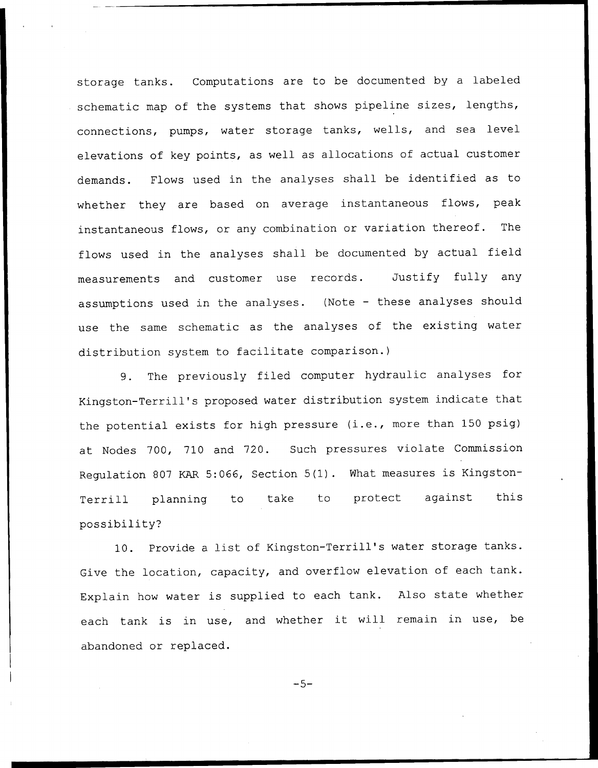storage tanks. Computations are to be documented by <sup>a</sup> labeled schematic map of the systems that shows pipeline sizes, lengths, connections, pumps, water storage tanks, wells, and sea level elevations of key points, as well as allocations of actual customer demands. Flows used in the analyses shall be identified as to whether they are based on average instantaneous flows, peak instantaneous flows, or any combination or variation thereof. The flows used in the analyses shall be documented by actual field measurements and customer use records. Justify fully any assumptions used in the analyses. (Note — these analyses should use the same schematic as the analyses of the existing water distribution system to facilitate comparison.)

9. The previously filed computer hydraulic analyses for Kingston-Terrill's proposed water distribution system indicate that the potential exists for high pressure (i.e., more than <sup>150</sup> psig) at Nodes 700, 710 and 720. Such pressures violate Commission Regulation <sup>807</sup> KAR 5:066, Section 5(1). What measures is Kingston-Terrill planning to take to protect against this possibility'

10. Provide <sup>a</sup> list of Kingston-Terrill's water storage tanks. Give the location, capacity, and overflow elevation of each tank. Explain how water is supplied to each tank. Also state whether each tank is in use, and whether it will remain in use, be abandoned or replaced.

 $-5-$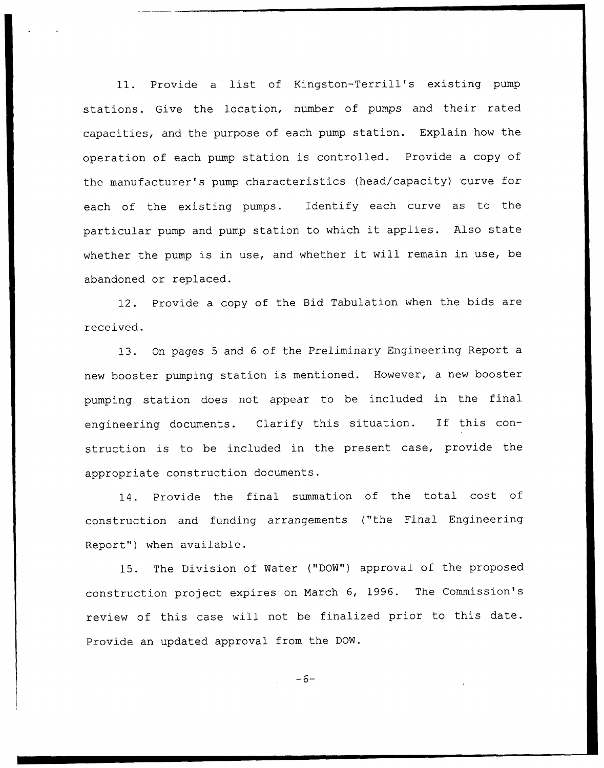11. Provide <sup>a</sup> list of Kingston-Terrill's existing pump stations. Give the location, number of pumps and their rated capacities, and the purpose of each pump station. Explain how the operation of each pump station is controlled. Provide a copy of the manufacturer's pump characteristics (head/capacity) curve for each of the existing pumps. Identify each curve as to the particular pump and pump station to which it applies. Also state whether the pump is in use, and whether it will remain in use, be abandoned or replaced.

12. Provide a copy of the Bid Tabulation when the bids are received.

13. On pages <sup>5</sup> and <sup>6</sup> of the Preliminary Engineering Report a new booster pumping station is mentioned. However, a new booster pumping station does not appear to be included in the final engineering documents. Clarify this situation. If this construction is to be included in the present case, provide the appropriate construction documents.

14. Provide the final summation of the total cost of construction and funding arrangements ("the Final Engineering Report") when available.

15. The Division of Water ("DON") approval of the proposed construction project expires on March 6, 1996. The Commission's review of this case will not be finalized prior to this date. Provide an updated approval from the DON.

 $-6-$